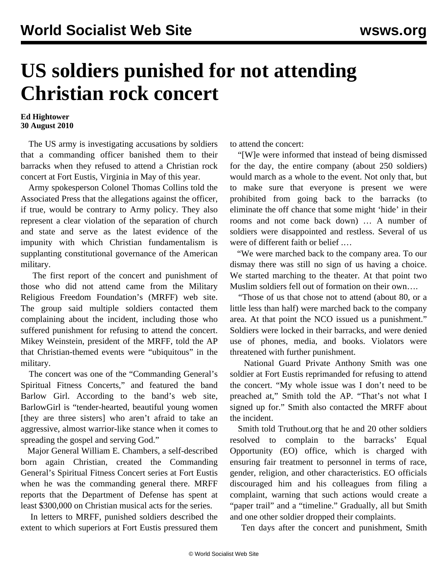## **US soldiers punished for not attending Christian rock concert**

## **Ed Hightower 30 August 2010**

 The US army is investigating accusations by soldiers that a commanding officer banished them to their barracks when they refused to attend a Christian rock concert at Fort Eustis, Virginia in May of this year.

 Army spokesperson Colonel Thomas Collins told the Associated Press that the allegations against the officer, if true, would be contrary to Army policy. They also represent a clear violation of the separation of church and state and serve as the latest evidence of the impunity with which Christian fundamentalism is supplanting constitutional governance of the American military.

 The first report of the concert and punishment of those who did not attend came from the Military Religious Freedom Foundation's (MRFF) web site. The group said multiple soldiers contacted them complaining about the incident, including those who suffered punishment for refusing to attend the concert. Mikey Weinstein, president of the MRFF, told the AP that Christian-themed events were "ubiquitous" in the military.

 The concert was one of the "Commanding General's Spiritual Fitness Concerts," and featured the band Barlow Girl. According to the band's web site, BarlowGirl is "tender-hearted, beautiful young women [they are three sisters] who aren't afraid to take an aggressive, almost warrior-like stance when it comes to spreading the gospel and serving God."

 Major General William E. Chambers, a self-described born again Christian, created the Commanding General's Spiritual Fitness Concert series at Fort Eustis when he was the commanding general there. MRFF reports that the Department of Defense has spent at least \$300,000 on Christian musical acts for the series.

 In letters to MRFF, punished soldiers described the extent to which superiors at Fort Eustis pressured them to attend the concert:

 "[W]e were informed that instead of being dismissed for the day, the entire company (about 250 soldiers) would march as a whole to the event. Not only that, but to make sure that everyone is present we were prohibited from going back to the barracks (to eliminate the off chance that some might 'hide' in their rooms and not come back down) … A number of soldiers were disappointed and restless. Several of us were of different faith or belief .…

 "We were marched back to the company area. To our dismay there was still no sign of us having a choice. We started marching to the theater. At that point two Muslim soldiers fell out of formation on their own….

 "Those of us that chose not to attend (about 80, or a little less than half) were marched back to the company area. At that point the NCO issued us a punishment." Soldiers were locked in their barracks, and were denied use of phones, media, and books. Violators were threatened with further punishment.

 National Guard Private Anthony Smith was one soldier at Fort Eustis reprimanded for refusing to attend the concert. "My whole issue was I don't need to be preached at," Smith told the AP. "That's not what I signed up for." Smith also contacted the MRFF about the incident.

 Smith told Truthout.org that he and 20 other soldiers resolved to complain to the barracks' Equal Opportunity (EO) office, which is charged with ensuring fair treatment to personnel in terms of race, gender, religion, and other characteristics. EO officials discouraged him and his colleagues from filing a complaint, warning that such actions would create a "paper trail" and a "timeline." Gradually, all but Smith and one other soldier dropped their complaints.

Ten days after the concert and punishment, Smith